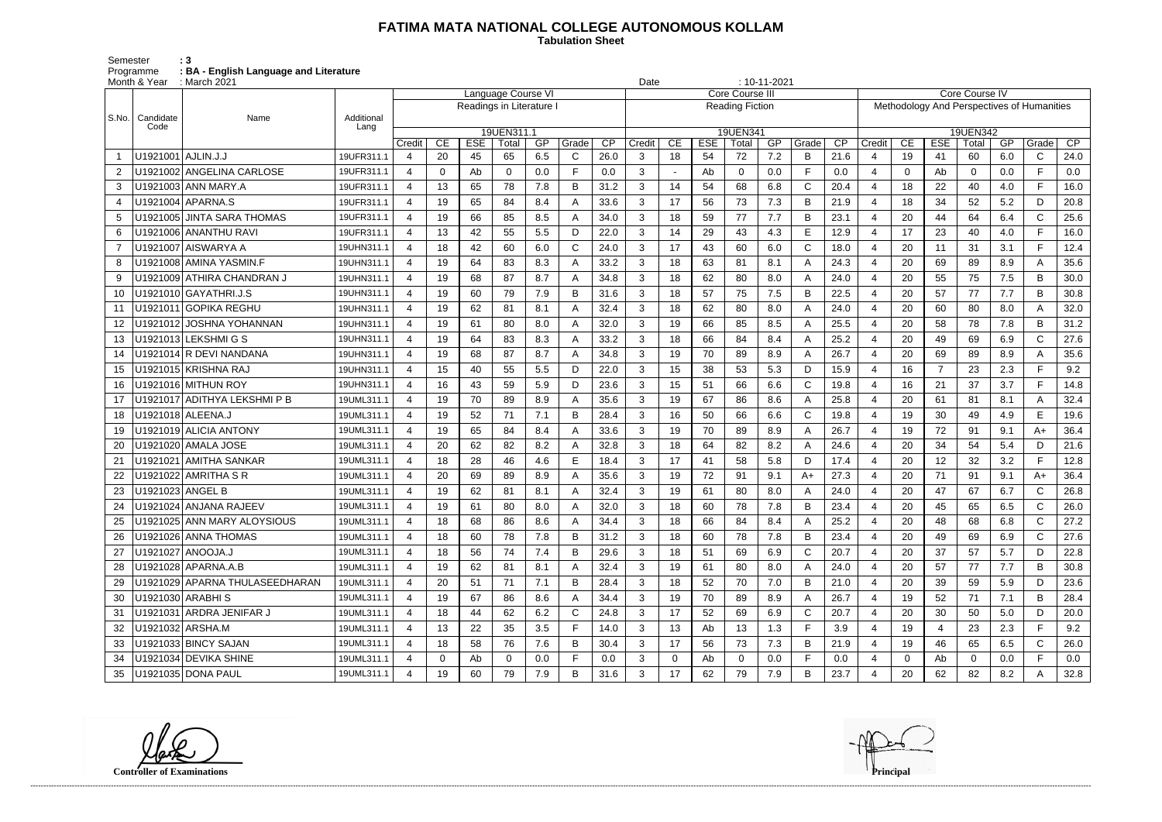## **FATIMA MATA NATIONAL COLLEGE AUTONOMOUS KOLLAM**

 **Tabulation Sheet** 

Semester : 3 Programme **: BA - English Language and Literature**

|       | Month & Year<br>$\therefore$ March 2021 |                                |                    |                         |              |            |                          |     |       |      | $: 10 - 11 - 2021$<br>Date<br>Core Course IV |    |            |                        |     |              |      |                          |              |                |          |     |                                            |                 |
|-------|-----------------------------------------|--------------------------------|--------------------|-------------------------|--------------|------------|--------------------------|-----|-------|------|----------------------------------------------|----|------------|------------------------|-----|--------------|------|--------------------------|--------------|----------------|----------|-----|--------------------------------------------|-----------------|
|       |                                         |                                |                    |                         |              |            | Language Course VI       |     |       |      |                                              |    |            | Core Course III        |     |              |      |                          |              |                |          |     |                                            |                 |
|       |                                         |                                |                    |                         |              |            | Readings in Literature I |     |       |      |                                              |    |            | <b>Reading Fiction</b> |     |              |      |                          |              |                |          |     | Methodology And Perspectives of Humanities |                 |
| S.No. | Candidate<br>Code                       | Name                           | Additional<br>Lang |                         |              |            |                          |     |       |      |                                              |    |            |                        |     |              |      | 19UEN342                 |              |                |          |     |                                            |                 |
|       |                                         |                                |                    | Credit                  | CE           | <b>ESE</b> | 19UEN311.1<br>Total      | GP  | Grade | CP   | Credit                                       | CE | <b>ESE</b> | 19UEN341<br>Total      | GP  | Grade        | CP   | Credit                   | CE           | <b>ESE</b>     | Total    | GP  | Grade                                      | $\overline{CP}$ |
|       | U1921001 AJLIN.J.J                      |                                | 19UFR311.1         | $\overline{4}$          | 20           | 45         | 65                       | 6.5 | C     | 26.0 | 3                                            | 18 | 54         | 72                     | 7.2 | B            | 21.6 | $\overline{4}$           | 19           | 41             | 60       | 6.0 | $\mathsf{C}$                               | 24.0            |
|       |                                         | U1921002 ANGELINA CARLOSE      | 19UFR311.1         | $\overline{4}$          | 0            | Ab         | 0                        | 0.0 | F     | 0.0  | 3                                            |    | Ab         | $\mathbf 0$            | 0.0 | F            | 0.0  | $\overline{4}$           | $\Omega$     | Ab             | $\Omega$ | 0.0 | F.                                         | 0.0             |
| 3     |                                         | U1921003 ANN MARY.A            | 19UFR311.1         | $\overline{4}$          | 13           | 65         | 78                       | 7.8 | B     | 31.2 | 3                                            | 14 | 54         | 68                     | 6.8 | $\mathsf C$  | 20.4 | $\overline{4}$           | 18           | 22             | 40       | 4.0 | F.                                         | 16.0            |
|       |                                         | U1921004 APARNA.S              | 19UFR311.1         | $\overline{\mathbf{4}}$ | 19           | 65         | 84                       | 8.4 |       | 33.6 | 3                                            | 17 | 56         | 73                     | 7.3 | B            | 21.9 | $\overline{4}$           | 18           | 34             | 52       | 5.2 | D                                          | 20.8            |
| 5     | U1921005                                | <b>JINTA SARA THOMAS</b>       | 19UFR311.1         | $\overline{4}$          | 19           | 66         | 85                       | 8.5 | А     | 34.0 | 3                                            | 18 | 59         | 77                     | 7.7 | B            | 23.1 | $\overline{4}$           | 20           | 44             | 64       | 6.4 | $\mathsf{C}$                               | 25.6            |
| 6     |                                         | J1921006 ANANTHU RAVI          | 19UFR311.1         | $\overline{4}$          | 13           | 42         | 55                       | 5.5 | D     | 22.0 | 3                                            | 14 | 29         | 43                     | 4.3 | E            | 12.9 | 4                        | 17           | 23             | 40       | 4.0 | F.                                         | 16.0            |
|       |                                         | U1921007 AISWARYA A            | 19UHN311.1         | $\overline{4}$          | 18           | 42         | 60                       | 6.0 | C     | 24.0 | 3                                            | 17 | 43         | 60                     | 6.0 | C            | 18.0 | $\overline{4}$           | 20           | 11             | 31       | 3.1 | F.                                         | 12.4            |
| 8     |                                         | U1921008 AMINA YASMIN.F        | 19UHN311.1         | $\overline{4}$          | 19           | 64         | 83                       | 8.3 | A     | 33.2 | 3                                            | 18 | 63         | 81                     | 8.1 | A            | 24.3 | $\overline{4}$           | 20           | 69             | 89       | 8.9 | A                                          | 35.6            |
| 9     |                                         | U1921009 ATHIRA CHANDRAN J     | 19UHN311.1         | $\boldsymbol{\Delta}$   | 19           | 68         | 87                       | 8.7 | Α     | 34.8 | 3                                            | 18 | 62         | 80                     | 8.0 | A            | 24.0 |                          | 20           | 55             | 75       | 7.5 | B                                          | 30.0            |
| 10    |                                         | J1921010 GAYATHRI.J.S          | 19UHN311.1         | $\overline{4}$          | 19           | 60         | 79                       | 7.9 | B     | 31.6 | 3                                            | 18 | 57         | 75                     | 7.5 | B            | 22.5 | $\overline{4}$           | 20           | 57             | 77       | 7.7 | B                                          | 30.8            |
|       |                                         | U1921011 GOPIKA REGHU          | 19UHN311.1         | $\boldsymbol{\Delta}$   | 19           | 62         | 81                       | 8.1 |       | 32.4 | 3                                            | 18 | 62         | 80                     | 8.0 | A            | 24.0 | 4                        | 20           | 60             | 80       | 8.0 | A                                          | 32.0            |
| 12    |                                         | J1921012 JOSHNA YOHANNAN       | 19UHN311.1         | $\overline{4}$          | 19           | 61         | 80                       | 8.0 | A     | 32.0 | 3                                            | 19 | 66         | 85                     | 8.5 | A            | 25.5 | 4                        | 20           | 58             | 78       | 7.8 | B                                          | 31.2            |
| 13    |                                         | U1921013 LEKSHMI G S           | 19UHN311.1         | $\overline{4}$          | 19           | 64         | 83                       | 8.3 | Α     | 33.2 | 3                                            | 18 | 66         | 84                     | 8.4 | A            | 25.2 | $\overline{4}$           | 20           | 49             | 69       | 6.9 | $\mathsf{C}$                               | 27.6            |
| 14    |                                         | U1921014 R DEVI NANDANA        | 19UHN311.1         | $\overline{4}$          | 19           | 68         | 87                       | 8.7 | Α     | 34.8 | 3                                            | 19 | 70         | 89                     | 8.9 | A            | 26.7 | $\overline{4}$           | 20           | 69             | 89       | 8.9 | A                                          | 35.6            |
| 15    |                                         | J1921015 KRISHNA RAJ           | 19UHN311.1         | $\overline{\mathbf{4}}$ | 15           | 40         | 55                       | 5.5 | D     | 22.0 | 3                                            | 15 | 38         | 53                     | 5.3 | D            | 15.9 | $\boldsymbol{4}$         | 16           | $\overline{7}$ | 23       | 2.3 | F.                                         | 9.2             |
| 16    |                                         | U1921016 MITHUN ROY            | 19UHN311.1         | $\boldsymbol{\Delta}$   | 16           | 43         | 59                       | 5.9 | D     | 23.6 | 3                                            | 15 | 51         | 66                     | 6.6 | $\mathsf{C}$ | 19.8 |                          | 16           | 21             | 37       | 3.7 | F.                                         | 14.8            |
| 17    |                                         | U1921017 ADITHYA LEKSHMI P B   | 19UML311.1         | $\overline{4}$          | 19           | 70         | 89                       | 8.9 | A     | 35.6 | 3                                            | 19 | 67         | 86                     | 8.6 | A            | 25.8 | $\overline{4}$           | 20           | 61             | 81       | 8.1 | A                                          | 32.4            |
| 18    |                                         | U1921018 ALEENA.J              | 19UML311.1         | $\overline{a}$          | 19           | 52         | 71                       | 7.1 | B     | 28.4 | 3                                            | 16 | 50         | 66                     | 6.6 | $\mathsf C$  | 19.8 | 4                        | 19           | 30             | 49       | 4.9 | E                                          | 19.6            |
| 19    |                                         | J1921019 ALICIA ANTONY         | 19UML311.1         | $\overline{4}$          | 19           | 65         | 84                       | 8.4 |       | 33.6 | 3                                            | 19 | 70         | 89                     | 8.9 | A            | 26.7 |                          | 19           | 72             | 91       | 9.1 | A+                                         | 36.4            |
| 20    |                                         | U1921020 AMALA JOSE            | 19UML311.1         | 4                       | 20           | 62         | 82                       | 8.2 | A     | 32.8 | 3                                            | 18 | 64         | 82                     | 8.2 | A            | 24.6 | $\overline{4}$           | 20           | 34             | 54       | 5.4 | D                                          | 21.6            |
| 21    |                                         | U1921021   AMITHA SANKAR       | 19UML311.1         | $\boldsymbol{\Delta}$   | 18           | 28         | 46                       | 4.6 | E     | 18.4 | 3                                            | 17 | 41         | 58                     | 5.8 | D            | 17.4 | $\boldsymbol{\varDelta}$ | 20           | 12             | 32       | 3.2 | F.                                         | 12.8            |
| 22    |                                         | U1921022 AMRITHA S R           | 19UML311.1         | $\overline{4}$          | 20           | 69         | 89                       | 8.9 | Α     | 35.6 | 3                                            | 19 | 72         | 91                     | 9.1 | $A+$         | 27.3 | 4                        | 20           | 71             | 91       | 9.1 | A+                                         | 36.4            |
| 23    |                                         | U1921023 ANGEL B               | 19UML311.1         | 4                       | 19           | 62         | 81                       | 8.1 | Α     | 32.4 | 3                                            | 19 | 61         | 80                     | 8.0 | A            | 24.0 | 4                        | 20           | 47             | 67       | 6.7 | $\mathsf C$                                | 26.8            |
| 24    |                                         | U1921024 ANJANA RAJEEV         | 19UML311.1         | $\boldsymbol{\Delta}$   | 19           | 61         | 80                       | 8.0 |       | 32.0 | 3                                            | 18 | 60         | 78                     | 7.8 | B            | 23.4 |                          | 20           | 45             | 65       | 6.5 | C                                          | 26.0            |
| 25    |                                         | U1921025 ANN MARY ALOYSIOUS    | 19UML311.1         | 4                       | 18           | 68         | 86                       | 8.6 | A     | 34.4 | 3                                            | 18 | 66         | 84                     | 8.4 | A            | 25.2 | 4                        | 20           | 48             | 68       | 6.8 | C                                          | 27.2            |
| 26    |                                         | U1921026 ANNA THOMAS           | 19UML311.1         | 4                       | 18           | 60         | 78                       | 7.8 | В     | 31.2 | 3                                            | 18 | 60         | 78                     | 7.8 | B            | 23.4 | -4                       | 20           | 49             | 69       | 6.9 | $\mathsf{C}$                               | 27.6            |
| 27    |                                         | U1921027 ANOOJA.J              | 19UML311.1         | $\overline{4}$          | 18           | 56         | 74                       | 7.4 | В     | 29.6 | 3                                            | 18 | 51         | 69                     | 6.9 | C            | 20.7 | 4                        | 20           | 37             | 57       | 5.7 | D                                          | 22.8            |
| 28    |                                         | U1921028 APARNA.A.B            | 19UML311.1         | $\overline{4}$          | 19           | 62         | 81                       | 8.1 | A     | 32.4 | 3                                            | 19 | 61         | 80                     | 8.0 | A            | 24.0 | 4                        | 20           | 57             | 77       | 7.7 | B                                          | 30.8            |
| 29    |                                         | U1921029 APARNA THULASEEDHARAN | 19UML311.1         | $\overline{4}$          | 20           | 51         | 71                       | 7.1 | В     | 28.4 | 3                                            | 18 | 52         | 70                     | 7.0 | B            | 21.0 | $\overline{4}$           | 20           | 39             | 59       | 5.9 | D                                          | 23.6            |
| 30    |                                         | U1921030 ARABHIS               | 19UML311.1         | $\overline{4}$          | 19           | 67         | 86                       | 8.6 | A     | 34.4 | 3                                            | 19 | 70         | 89                     | 8.9 | A            | 26.7 | 4                        | 19           | 52             | 71       | 7.1 | B                                          | 28.4            |
| 31    |                                         | U1921031 ARDRA JENIFAR J       | 19UML311.1         | 4                       | 18           | 44         | 62                       | 6.2 | C     | 24.8 | 3                                            | 17 | 52         | 69                     | 6.9 | C            | 20.7 | 4                        | 20           | 30             | 50       | 5.0 | D                                          | 20.0            |
| 32    |                                         | U1921032 ARSHA.M               | 19UML311.1         | $\overline{4}$          | 13           | 22         | 35                       | 3.5 | F     | 14.0 | 3                                            | 13 | Ab         | 13                     | 1.3 | F            | 3.9  | 4                        | 19           | $\overline{4}$ | 23       | 2.3 | F.                                         | 9.2             |
| 33    |                                         | U1921033 BINCY SAJAN           | 19UML311.1         | $\overline{4}$          | 18           | 58         | 76                       | 7.6 | В     | 30.4 | 3                                            | 17 | 56         | 73                     | 7.3 | B            | 21.9 | 4                        | 19           | 46             | 65       | 6.5 | $\mathsf{C}$                               | 26.0            |
| 34    |                                         | U1921034 DEVIKA SHINE          | 19UML311.1         | $\overline{4}$          | $\mathbf{0}$ | Ab         | 0                        | 0.0 | F     | 0.0  | 3                                            | 0  | Ab         | $\overline{0}$         | 0.0 | F            | 0.0  | $\overline{4}$           | $\mathbf{0}$ | Ab             | 0        | 0.0 | F.                                         | 0.0             |
| 35    |                                         | U1921035 DONA PAUL             | 19UML311.1         | $\boldsymbol{\Delta}$   | 19           | 60         | 79                       | 7.9 | В     | 31.6 | 3 <sup>1</sup>                               | 17 | 62         | 79                     | 7.9 | B            | 23.7 |                          | 20           | 62             | 82       | 8.2 | A                                          | 32.8            |

**Controller of Examinations** 

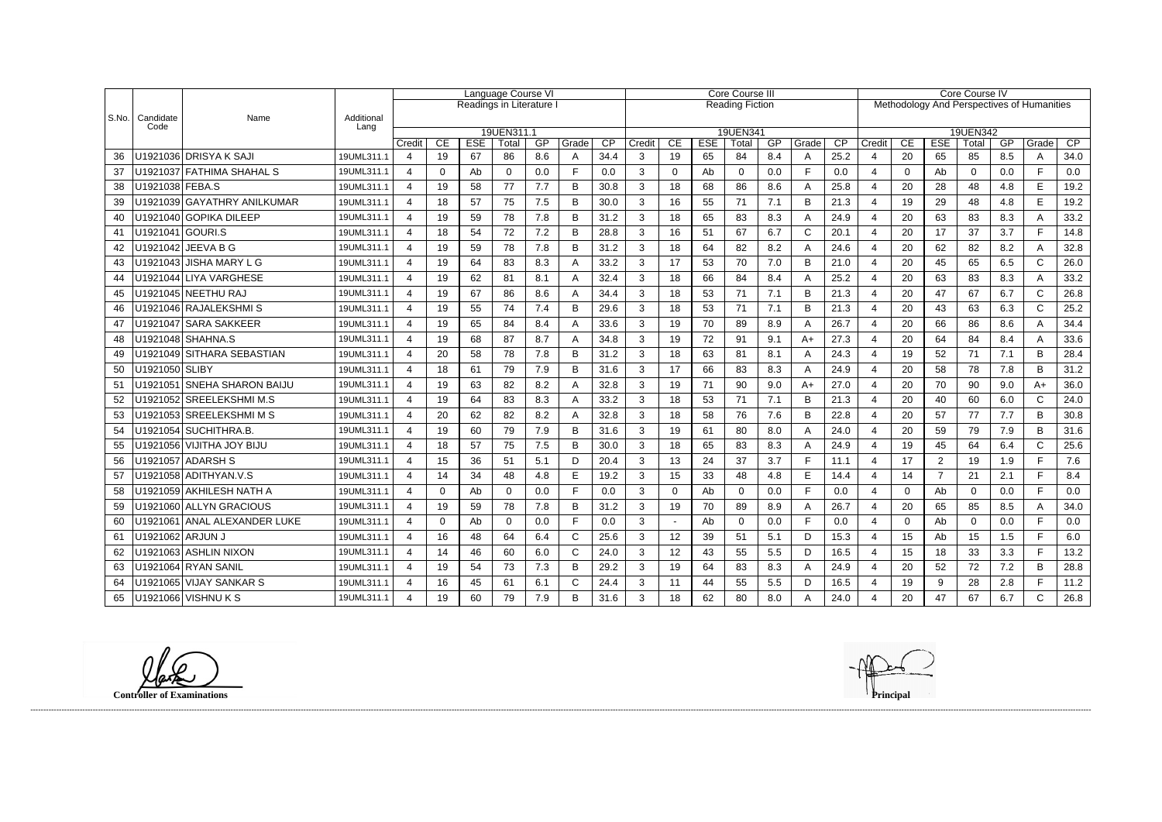|       |                   |                              |                    | Language Course VI       |                          |            |                     |     |       | <b>Core Course III</b> |        |    |            |                   |     | Core Course IV                             |      |                          |                  |                |                   |     |              |      |  |
|-------|-------------------|------------------------------|--------------------|--------------------------|--------------------------|------------|---------------------|-----|-------|------------------------|--------|----|------------|-------------------|-----|--------------------------------------------|------|--------------------------|------------------|----------------|-------------------|-----|--------------|------|--|
|       |                   |                              |                    |                          | Readings in Literature I |            |                     |     |       | <b>Reading Fiction</b> |        |    |            |                   |     | Methodology And Perspectives of Humanities |      |                          |                  |                |                   |     |              |      |  |
| S.No. | Candidate<br>Code | Name                         | Additional<br>Lang |                          |                          |            |                     |     |       |                        |        |    |            |                   |     |                                            |      |                          |                  |                |                   |     |              |      |  |
|       |                   |                              |                    | Credit                   | CE                       | <b>ESE</b> | 19UEN311.1<br>Total | GP  | Grade | $\overline{CP}$        | Credit | CE | <b>ESE</b> | 19UEN341<br>Total | GP  | Grade                                      | CP   | Credit                   | CE               | <b>ESE</b>     | 19UEN342<br>Total | GP  | Grade        | CP   |  |
| 36    |                   | U1921036 DRISYA K SAJI       | 19UML311.1         | 4                        | 19                       | 67         | 86                  | 8.6 | A     | 34.4                   | 3      | 19 | 65         | 84                | 8.4 | A                                          | 25.2 | 4                        | 20               | 65             | 85                | 8.5 | A            | 34.0 |  |
| 37    |                   | U1921037 FATHIMA SHAHAL S    | 19UML311.1         | 4                        | 0                        | Ab         | $\Omega$            | 0.0 | Е     | 0.0                    | 3      | 0  | Ab         | $\mathbf 0$       | 0.0 | F                                          | 0.0  | $\overline{4}$           | 0                | Ab             | $\Omega$          | 0.0 | F.           | 0.0  |  |
| 38    | U1921038 FEBA.S   |                              | 19UML311.1         | 4                        | 19                       | 58         | 77                  | 7.7 | B     | 30.8                   | 3      | 18 | 68         | 86                | 8.6 | A                                          | 25.8 | $\overline{4}$           | 20               | 28             | 48                | 4.8 | E            | 19.2 |  |
| 39    |                   | U1921039 GAYATHRY ANILKUMAR  | 19UML311.1         | 4                        | 18                       | 57         | 75                  | 7.5 | B     | 30.0                   | 3      | 16 | 55         | 71                | 7.1 | B                                          | 21.3 | $\overline{4}$           | 19               | 29             | 48                | 4.8 | E            | 19.2 |  |
| 40    |                   | U1921040 GOPIKA DILEEP       | 19UML311.1         | $\boldsymbol{\varDelta}$ | 19                       | 59         | 78                  | 7.8 | B     | 31.2                   | 3      | 18 | 65         | 83                | 8.3 | A                                          | 24.9 | 4                        | 20               | 63             | 83                | 8.3 |              | 33.2 |  |
| 41    | U1921041 GOURI.S  |                              | 19UML311.1         | 4                        | 18                       | 54         | 72                  | 7.2 | B     | 28.8                   | 3      | 16 | 51         | 67                | 6.7 | $\mathsf{C}$                               | 20.1 | $\overline{4}$           | 20               | 17             | 37                | 3.7 | E.           | 14.8 |  |
| 42    |                   | U1921042 JEEVA B G           | 19UML311.1         | 4                        | 19                       | 59         | 78                  | 7.8 | B     | 31.2                   | 3      | 18 | 64         | 82                | 8.2 | A                                          | 24.6 | $\overline{4}$           | 20               | 62             | 82                | 8.2 |              | 32.8 |  |
| 43    |                   | U1921043   JISHA MARY L G    | 19UML311.1         | 4                        | 19                       | 64         | 83                  | 8.3 |       | 33.2                   | 3      | 17 | 53         | 70                | 7.0 | B                                          | 21.0 | $\overline{4}$           | 20               | 45             | 65                | 6.5 | C            | 26.0 |  |
| 44    |                   | U1921044 LIYA VARGHESE       | 19UML311.1         | 4                        | 19                       | 62         | 81                  | 8.1 | А     | 32.4                   | 3      | 18 | 66         | 84                | 8.4 | A                                          | 25.2 | $\overline{4}$           | 20               | 63             | 83                | 8.3 | A            | 33.2 |  |
| 45    |                   | U1921045 NEETHU RAJ          | 19UML311.1         | 4                        | 19                       | 67         | 86                  | 8.6 |       | 34.4                   | 3      | 18 | 53         | 71                | 7.1 | B                                          | 21.3 | $\boldsymbol{\varDelta}$ | 20               | 47             | 67                | 6.7 | C            | 26.8 |  |
| 46    |                   | U1921046 RAJALEKSHMIS        | 19UML311.1         | $\overline{4}$           | 19                       | 55         | 74                  | 7.4 | B     | 29.6                   | 3      | 18 | 53         | 71                | 7.1 | B                                          | 21.3 | $\overline{4}$           | 20               | 43             | 63                | 6.3 | $\mathsf{C}$ | 25.2 |  |
| 47    |                   | U1921047 SARA SAKKEER        | 19UML311.1         | 4                        | 19                       | 65         | 84                  | 8.4 |       | 33.6                   | 3      | 19 | 70         | 89                | 8.9 | A                                          | 26.7 | $\overline{4}$           | 20               | 66             | 86                | 8.6 | А            | 34.4 |  |
| 48    |                   | U1921048 SHAHNA.S            | 19UML311.1         | 4                        | 19                       | 68         | 87                  | 8.7 |       | 34.8                   | 3      | 19 | 72         | 91                | 9.1 | $A+$                                       | 27.3 | $\overline{4}$           | 20               | 64             | 84                | 8.4 |              | 33.6 |  |
| 49    |                   | U1921049 SITHARA SEBASTIAN   | 19UML311.1         | 4                        | 20                       | 58         | 78                  | 7.8 | B     | 31.2                   | 3      | 18 | 63         | 81                | 8.1 | A                                          | 24.3 | $\boldsymbol{4}$         | 19               | 52             | 71                | 7.1 | B            | 28.4 |  |
| 50    | U1921050 SLIBY    |                              | 19UML311.1         | 4                        | 18                       | 61         | 79                  | 7.9 | B     | 31.6                   | 3      | 17 | 66         | 83                | 8.3 | A                                          | 24.9 | $\boldsymbol{\varDelta}$ | 20               | 58             | 78                | 7.8 | B            | 31.2 |  |
| 51    |                   | U1921051 SNEHA SHARON BAIJU  | 19UML311.1         | 4                        | 19                       | 63         | 82                  | 8.2 | Α     | 32.8                   | 3      | 19 | 71         | 90                | 9.0 | $A+$                                       | 27.0 | $\overline{4}$           | 20               | 70             | 90                | 9.0 | $A+$         | 36.0 |  |
| 52    |                   | U1921052 SREELEKSHMI M.S     | 19UML311.1         | 4                        | 19                       | 64         | 83                  | 8.3 |       | 33.2                   | 3      | 18 | 53         | 71                | 7.1 | B                                          | 21.3 | $\overline{4}$           | 20               | 40             | 60                | 6.0 | $\mathsf{C}$ | 24.0 |  |
| 53    |                   | U1921053 SREELEKSHMI M S     | 19UML311.1         | 4                        | 20                       | 62         | 82                  | 8.2 | Α     | 32.8                   | 3      | 18 | 58         | 76                | 7.6 | B                                          | 22.8 | $\overline{4}$           | 20               | 57             | 77                | 7.7 | B            | 30.8 |  |
| 54    |                   | U1921054 SUCHITHRA.B         | 19UML311.1         | 4                        | 19                       | 60         | 79                  | 7.9 | B     | 31.6                   | 3      | 19 | 61         | 80                | 8.0 | A                                          | 24.0 | $\overline{4}$           | 20               | 59             | 79                | 7.9 | B            | 31.6 |  |
| 55    |                   | U1921056 VIJITHA JOY BIJU    | 19UML311.1         | 4                        | 18                       | 57         | 75                  | 7.5 | B     | 30.0                   | 3      | 18 | 65         | 83                | 8.3 | A                                          | 24.9 | $\boldsymbol{\varDelta}$ | 19               | 45             | 64                | 6.4 | C            | 25.6 |  |
| 56    |                   | U1921057 ADARSH S            | 19UML311.1         | 4                        | 15                       | 36         | 51                  | 5.1 | D     | 20.4                   | 3      | 13 | 24         | 37                | 3.7 | F                                          | 11.1 | $\overline{4}$           | 17               | 2              | 19                | 1.9 | E.           | 7.6  |  |
| 57    |                   | U1921058 ADITHYAN.V.S        | 19UML311.1         | 4                        | 14                       | 34         | 48                  | 4.8 | E     | 19.2                   | 3      | 15 | 33         | 48                | 4.8 | E                                          | 14.4 | 4                        | 14               | $\overline{7}$ | 21                | 2.1 | F.           | 8.4  |  |
| 58    |                   | U1921059 AKHILESH NATH A     | 19UML311.1         | 4                        | 0                        | Ab         | $\Omega$            | 0.0 | Е     | 0.0                    | 3      | 0  | Ab         | $\mathbf 0$       | 0.0 | F                                          | 0.0  | $\overline{4}$           | 0                | Ab             | $\mathbf 0$       | 0.0 | E.           | 0.0  |  |
| 59    |                   | U1921060 ALLYN GRACIOUS      | 19UML311.1         | 4                        | 19                       | 59         | 78                  | 7.8 | B     | 31.2                   | 3      | 19 | 70         | 89                | 8.9 | A                                          | 26.7 |                          | 20               | 65             | 85                | 8.5 | A            | 34.0 |  |
| 60    |                   | U1921061 ANAL ALEXANDER LUKE | 19UML311.1         | ⊿                        | U                        | Ab         | <sup>n</sup>        | 0.0 | Е     | 0.0                    |        |    | Ab         | $\Omega$          | 0.0 | F                                          | 0.0  |                          | ∩                | Ab             | $\Omega$          | 0.0 | E            | 0.0  |  |
| 61    | U1921062 ARJUN J  |                              | 19UML311.1         | $\overline{4}$           | 16                       | 48         | 64                  | 6.4 | C     | 25.6                   | 3      | 12 | 39         | 51                | 5.1 | D                                          | 15.3 | 4                        | 15 <sub>15</sub> | Ab             | 15                | 1.5 | F.           | 6.0  |  |
| 62    |                   | U1921063 ASHLIN NIXON        | 19UML311.1         | $\overline{4}$           | 14                       | 46         | 60                  | 6.0 | C     | 24.0                   | 3      | 12 | 43         | 55                | 5.5 | D                                          | 16.5 | 4                        | 15               | 18             | 33                | 3.3 | F.           | 13.2 |  |
| 63    |                   | U1921064 RYAN SANIL          | 19UML311.1         | 4                        | 19                       | 54         | 73                  | 7.3 | B     | 29.2                   | 3      | 19 | 64         | 83                | 8.3 | A                                          | 24.9 | 4                        | 20               | 52             | 72                | 7.2 | B            | 28.8 |  |
| 64    |                   | U1921065 VIJAY SANKAR S      | 19UML311.1         | $\overline{4}$           | 16                       | 45         | 61                  | 6.1 | C     | 24.4                   | 3      | 11 | 44         | 55                | 5.5 | D                                          | 16.5 | 4                        | 19               | 9              | 28                | 2.8 |              | 11.2 |  |
| 65    |                   | U1921066 VISHNU K S          | 19UML311.1         | 4                        | 19                       | 60         | 79                  | 7.9 | B     | 31.6                   | 3      | 18 | 62         | 80                | 8.0 | A                                          | 24.0 |                          | 20               | 47             | 67                | 6.7 | C.           | 26.8 |  |

lak **Controller of Examinations Principal**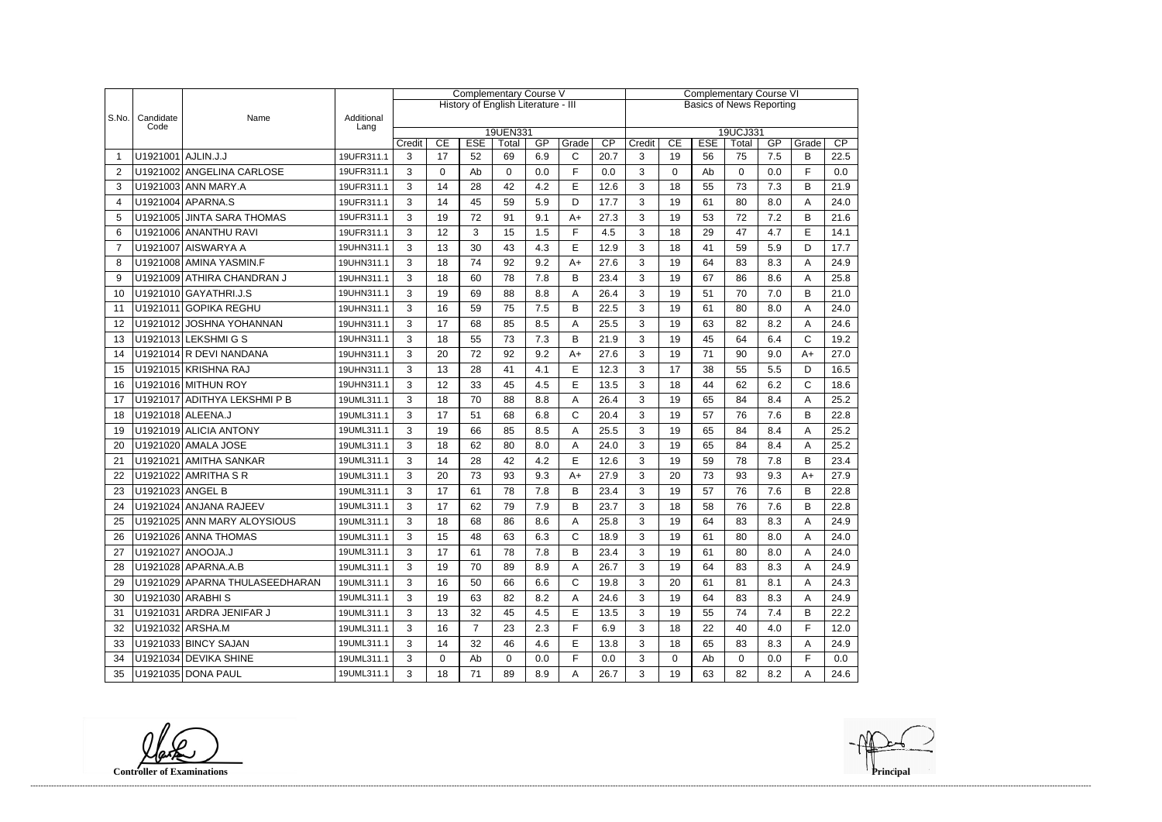|                |                    |                                |                    | <b>Complementary Course V</b> |          |                |                                     |     |              |                                 | <b>Complementary Course VI</b> |                                                                      |    |             |     |              |      |  |  |
|----------------|--------------------|--------------------------------|--------------------|-------------------------------|----------|----------------|-------------------------------------|-----|--------------|---------------------------------|--------------------------------|----------------------------------------------------------------------|----|-------------|-----|--------------|------|--|--|
|                |                    |                                |                    |                               |          |                | History of English Literature - III |     |              | <b>Basics of News Reporting</b> |                                |                                                                      |    |             |     |              |      |  |  |
| S.No.          | Candidate<br>Code  | Name                           | Additional<br>Lang |                               |          |                |                                     |     |              |                                 |                                |                                                                      |    |             |     |              |      |  |  |
|                |                    |                                |                    | Credit                        | CE       | <b>ESE</b>     | 19UEN331                            | GP  | Grade        | CP                              |                                | 19UCJ331<br>CE<br><b>ESE</b><br>GP<br>CP<br>Credit<br>Total<br>Grade |    |             |     |              |      |  |  |
|                | U1921001 AJLIN.J.J |                                | 19UFR311.1         | 3                             | 17       | 52             | Total<br>69                         | 6.9 | C            | 20.7                            | 3                              | 19                                                                   | 56 | 75          | 7.5 | В            | 22.5 |  |  |
| $\overline{2}$ |                    | U1921002 ANGELINA CARLOSE      | 19UFR311.1         | 3                             | $\Omega$ | Ab             | $\Omega$                            | 0.0 | F            | 0.0                             | 3                              | $\mathbf{0}$                                                         | Ab | $\Omega$    | 0.0 | F            | 0.0  |  |  |
| 3              |                    | U1921003 ANN MARY.A            | 19UFR311.1         | 3                             | 14       | 28             | 42                                  | 4.2 | E            | 12.6                            | 3                              | 18                                                                   | 55 | 73          | 7.3 | B            | 21.9 |  |  |
| 4              |                    | U1921004 APARNA.S              | 19UFR311.1         | 3                             | 14       | 45             | 59                                  | 5.9 | D            | 17.7                            | 3                              | 19                                                                   | 61 | 80          | 8.0 | Α            | 24.0 |  |  |
| 5              |                    | U1921005 JINTA SARA THOMAS     | 19UFR311.1         | 3                             | 19       | 72             | 91                                  | 9.1 | $A+$         | 27.3                            | 3                              | 19                                                                   | 53 | 72          | 7.2 | B            | 21.6 |  |  |
| 6              |                    | U1921006 ANANTHU RAVI          | 19UFR311.1         | 3                             | 12       | 3              | 15                                  | 1.5 | F            | 4.5                             | 3                              | 18                                                                   | 29 | 47          | 4.7 | E            | 14.1 |  |  |
| $\overline{7}$ |                    | U1921007 AISWARYA A            | 19UHN311.1         | 3                             | 13       | 30             | 43                                  | 4.3 | E            | 12.9                            | 3                              | 18                                                                   | 41 | 59          | 5.9 | D            | 17.7 |  |  |
| 8              |                    | U1921008 AMINA YASMIN.F        | 19UHN311.1         | 3                             | 18       | 74             | 92                                  | 9.2 | $A+$         | 27.6                            | 3                              | 19                                                                   | 64 | 83          | 8.3 | Α            | 24.9 |  |  |
| 9              |                    | U1921009 ATHIRA CHANDRAN J     | 19UHN311.1         | 3                             | 18       | 60             | 78                                  | 7.8 | B            | 23.4                            | 3                              | 19                                                                   | 67 | 86          | 8.6 | Α            | 25.8 |  |  |
| 10             |                    | U1921010 GAYATHRI.J.S          | 19UHN311.1         | 3                             | 19       | 69             | 88                                  | 8.8 | A            | 26.4                            | 3                              | 19                                                                   | 51 | 70          | 7.0 | B            | 21.0 |  |  |
| 11             |                    | U1921011 GOPIKA REGHU          | 19UHN311.1         | 3                             | 16       | 59             | 75                                  | 7.5 | B            | 22.5                            | 3                              | 19                                                                   | 61 | 80          | 8.0 | Α            | 24.0 |  |  |
| 12             |                    | U1921012 JOSHNA YOHANNAN       | 19UHN311.1         | 3                             | 17       | 68             | 85                                  | 8.5 | A            | 25.5                            | 3                              | 19                                                                   | 63 | 82          | 8.2 | Α            | 24.6 |  |  |
| 13             |                    | U1921013 LEKSHMI G S           | 19UHN311.1         | 3                             | 18       | 55             | 73                                  | 7.3 | B            | 21.9                            | 3                              | 19                                                                   | 45 | 64          | 6.4 | $\mathsf{C}$ | 19.2 |  |  |
| 14             |                    | U1921014 R DEVI NANDANA        | 19UHN311.1         | 3                             | 20       | 72             | 92                                  | 9.2 | $A+$         | 27.6                            | 3                              | 19                                                                   | 71 | 90          | 9.0 | $A+$         | 27.0 |  |  |
| 15             |                    | U1921015 KRISHNA RAJ           | 19UHN311.1         | 3                             | 13       | 28             | 41                                  | 4.1 | E            | 12.3                            | 3                              | 17                                                                   | 38 | 55          | 5.5 | D            | 16.5 |  |  |
| 16             |                    | U1921016 MITHUN ROY            | 19UHN311.1         | 3                             | 12       | 33             | 45                                  | 4.5 | E            | 13.5                            | 3                              | 18                                                                   | 44 | 62          | 6.2 | C            | 18.6 |  |  |
| 17             |                    | U1921017 ADITHYA LEKSHMI P B   | 19UML311.1         | 3                             | 18       | 70             | 88                                  | 8.8 | A            | 26.4                            | 3                              | 19                                                                   | 65 | 84          | 8.4 | Α            | 25.2 |  |  |
| 18             |                    | U1921018 ALEENA.J              | 19UML311.1         | 3                             | 17       | 51             | 68                                  | 6.8 | $\mathsf{C}$ | 20.4                            | 3                              | 19                                                                   | 57 | 76          | 7.6 | B            | 22.8 |  |  |
| 19             |                    | U1921019 ALICIA ANTONY         | 19UML311.1         | 3                             | 19       | 66             | 85                                  | 8.5 | Α            | 25.5                            | 3                              | 19                                                                   | 65 | 84          | 8.4 | Α            | 25.2 |  |  |
| 20             |                    | U1921020 AMALA JOSE            | 19UML311.1         | 3                             | 18       | 62             | 80                                  | 8.0 | A            | 24.0                            | 3                              | 19                                                                   | 65 | 84          | 8.4 | Α            | 25.2 |  |  |
| 21             |                    | U1921021 AMITHA SANKAR         | 19UML311.1         | 3                             | 14       | 28             | 42                                  | 4.2 | E            | 12.6                            | 3                              | 19                                                                   | 59 | 78          | 7.8 | B            | 23.4 |  |  |
| 22             |                    | U1921022 AMRITHA S R           | 19UML311.1         | 3                             | 20       | 73             | 93                                  | 9.3 | $A+$         | 27.9                            | 3                              | 20                                                                   | 73 | 93          | 9.3 | $A+$         | 27.9 |  |  |
| 23             | U1921023 ANGEL B   |                                | 19UML311.1         | 3                             | 17       | 61             | 78                                  | 7.8 | B            | 23.4                            | 3                              | 19                                                                   | 57 | 76          | 7.6 | B            | 22.8 |  |  |
| 24             |                    | U1921024 ANJANA RAJEEV         | 19UML311.1         | 3                             | 17       | 62             | 79                                  | 7.9 | B            | 23.7                            | 3                              | 18                                                                   | 58 | 76          | 7.6 | B            | 22.8 |  |  |
| 25             |                    | U1921025 ANN MARY ALOYSIOUS    | 19UML311.1         | 3                             | 18       | 68             | 86                                  | 8.6 | А            | 25.8                            | 3                              | 19                                                                   | 64 | 83          | 8.3 |              | 24.9 |  |  |
| 26             |                    | U1921026 ANNA THOMAS           | 19UML311.1         | 3                             | 15       | 48             | 63                                  | 6.3 | $\mathsf{C}$ | 18.9                            | 3                              | 19                                                                   | 61 | 80          | 8.0 | A            | 24.0 |  |  |
| 27             |                    | U1921027 ANOOJA.J              | 19UML311.1         | 3                             | 17       | 61             | 78                                  | 7.8 | B            | 23.4                            | 3                              | 19                                                                   | 61 | 80          | 8.0 | A            | 24.0 |  |  |
| 28             |                    | U1921028 APARNA.A.B            | 19UML311.1         | 3                             | 19       | 70             | 89                                  | 8.9 | A            | 26.7                            | 3                              | 19                                                                   | 64 | 83          | 8.3 | A            | 24.9 |  |  |
| 29             |                    | U1921029 APARNA THULASEEDHARAN | 19UML311.1         | 3                             | 16       | 50             | 66                                  | 6.6 | $\mathsf{C}$ | 19.8                            | 3                              | 20                                                                   | 61 | 81          | 8.1 | A            | 24.3 |  |  |
| 30             |                    | U1921030 ARABHIS               | 19UML311.1         | 3                             | 19       | 63             | 82                                  | 8.2 | A            | 24.6                            | 3                              | 19                                                                   | 64 | 83          | 8.3 | A            | 24.9 |  |  |
| 31             |                    | U1921031 ARDRA JENIFAR J       | 19UML311.1         | 3                             | 13       | 32             | 45                                  | 4.5 | E            | 13.5                            | 3                              | 19                                                                   | 55 | 74          | 7.4 | B            | 22.2 |  |  |
| 32             |                    | U1921032 ARSHA.M               | 19UML311.1         | 3                             | 16       | $\overline{7}$ | 23                                  | 2.3 | F            | 6.9                             | 3                              | 18                                                                   | 22 | 40          | 4.0 | F            | 12.0 |  |  |
| 33             |                    | U1921033 BINCY SAJAN           | 19UML311.1         | 3                             | 14       | 32             | 46                                  | 4.6 | Е            | 13.8                            | 3                              | 18                                                                   | 65 | 83          | 8.3 | A            | 24.9 |  |  |
| 34             |                    | U1921034 DEVIKA SHINE          | 19UML311.1         | 3                             | 0        | Ab             | 0                                   | 0.0 | F.           | 0.0                             | 3                              | $\mathbf 0$                                                          | Ab | $\mathbf 0$ | 0.0 | F            | 0.0  |  |  |
| 35             |                    | U1921035 DONA PAUL             | 19UML311.1         | 3                             | 18       | 71             | 89                                  | 8.9 | A            | 26.7                            | 3                              | 19                                                                   | 63 | 82          | 8.2 | A            | 24.6 |  |  |

**Controller of Examinations**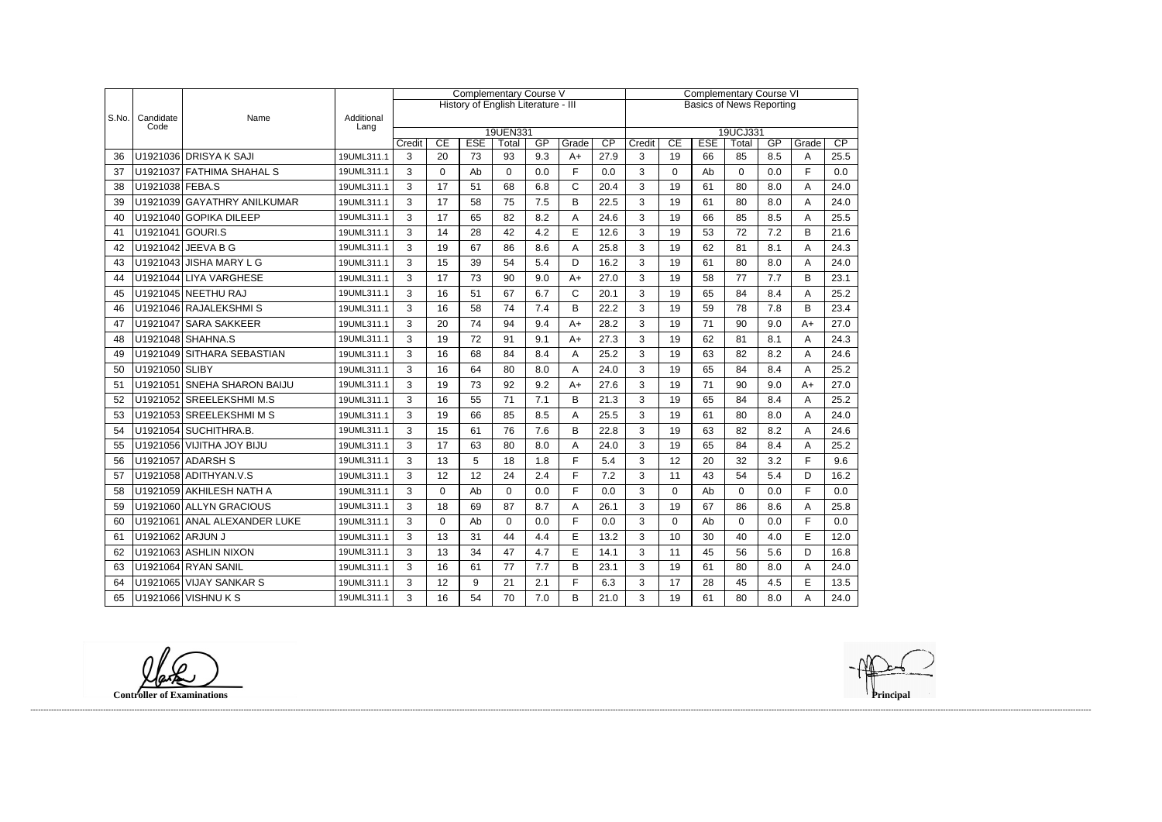|       |                   |                              |                    | <b>Complementary Course V</b>       |          |            |                   |     |              |      | <b>Complementary Course VI</b>  |             |            |                   |     |       |      |  |
|-------|-------------------|------------------------------|--------------------|-------------------------------------|----------|------------|-------------------|-----|--------------|------|---------------------------------|-------------|------------|-------------------|-----|-------|------|--|
|       |                   |                              |                    | History of English Literature - III |          |            |                   |     |              |      | <b>Basics of News Reporting</b> |             |            |                   |     |       |      |  |
| S.No. | Candidate<br>Code | Name                         | Additional<br>Lang |                                     |          |            |                   |     |              |      |                                 |             |            |                   |     |       |      |  |
|       |                   |                              |                    | Credit                              | CE       | <b>ESE</b> | 19UEN331<br>Total | GP  | Grade        | CP   | Credit                          | CE          | <b>ESE</b> | 19UCJ331<br>Total | GP  | Grade | CP   |  |
| 36    |                   | U1921036 DRISYA K SAJI       | 19UML311.1         | 3                                   | 20       | 73         | 93                | 9.3 | $A+$         | 27.9 | 3                               | 19          | 66         | 85                | 8.5 | Α     | 25.5 |  |
| 37    |                   | U1921037 FATHIMA SHAHAL S    | 19UML311.1         | 3                                   | 0        | Ab         | 0                 | 0.0 | F            | 0.0  | 3                               | 0           | Ab         | $\Omega$          | 0.0 | F     | 0.0  |  |
| 38    | U1921038 FEBA.S   |                              | 19UML311.1         | 3                                   | 17       | 51         | 68                | 6.8 | $\mathsf{C}$ | 20.4 | 3                               | 19          | 61         | 80                | 8.0 | A     | 24.0 |  |
| 39    |                   | U1921039 GAYATHRY ANILKUMAR  | 19UML311.1         | 3                                   | 17       | 58         | 75                | 7.5 | B            | 22.5 | 3                               | 19          | 61         | 80                | 8.0 | A     | 24.0 |  |
| 40    |                   | U1921040 GOPIKA DILEEP       | 19UML311.1         | 3                                   | 17       | 65         | 82                | 8.2 | А            | 24.6 | 3                               | 19          | 66         | 85                | 8.5 | A     | 25.5 |  |
| 41    | U1921041 GOURI.S  |                              | 19UML311.1         | 3                                   | 14       | 28         | 42                | 4.2 | E            | 12.6 | 3                               | 19          | 53         | 72                | 7.2 | B     | 21.6 |  |
| 42    |                   | U1921042 JEEVA B G           | 19UML311.1         | 3                                   | 19       | 67         | 86                | 8.6 | Α            | 25.8 | 3                               | 19          | 62         | 81                | 8.1 | Α     | 24.3 |  |
| 43    |                   | U1921043 JISHA MARY L G      | 19UML311.1         | 3                                   | 15       | 39         | 54                | 5.4 | D            | 16.2 | 3                               | 19          | 61         | 80                | 8.0 | Α     | 24.0 |  |
| 44    |                   | U1921044 LIYA VARGHESE       | 19UML311.1         | 3                                   | 17       | 73         | 90                | 9.0 | $A+$         | 27.0 | 3                               | 19          | 58         | 77                | 7.7 | B     | 23.1 |  |
| 45    |                   | U1921045 NEETHU RAJ          | 19UML311.1         | 3                                   | 16       | 51         | 67                | 6.7 | C            | 20.1 | 3                               | 19          | 65         | 84                | 8.4 | A     | 25.2 |  |
| 46    |                   | U1921046 RAJALEKSHMIS        | 19UML311.1         | 3                                   | 16       | 58         | 74                | 7.4 | B            | 22.2 | 3                               | 19          | 59         | 78                | 7.8 | B     | 23.4 |  |
| 47    |                   | U1921047 SARA SAKKEER        | 19UML311.1         | 3                                   | 20       | 74         | 94                | 9.4 | $A+$         | 28.2 | 3                               | 19          | 71         | 90                | 9.0 | $A+$  | 27.0 |  |
| 48    |                   | U1921048 SHAHNA.S            | 19UML311.1         | 3                                   | 19       | 72         | 91                | 9.1 | $A+$         | 27.3 | 3                               | 19          | 62         | 81                | 8.1 | Α     | 24.3 |  |
| 49    |                   | U1921049 SITHARA SEBASTIAN   | 19UML311.1         | 3                                   | 16       | 68         | 84                | 8.4 | Α            | 25.2 | 3                               | 19          | 63         | 82                | 8.2 | Α     | 24.6 |  |
| 50    | U1921050 SLIBY    |                              | 19UML311.1         | 3                                   | 16       | 64         | 80                | 8.0 | Α            | 24.0 | 3                               | 19          | 65         | 84                | 8.4 | А     | 25.2 |  |
| 51    |                   | U1921051 SNEHA SHARON BAIJU  | 19UML311.1         | 3                                   | 19       | 73         | 92                | 9.2 | $A+$         | 27.6 | 3                               | 19          | 71         | 90                | 9.0 | $A+$  | 27.0 |  |
| 52    |                   | U1921052 SREELEKSHMI M.S     | 19UML311.1         | 3                                   | 16       | 55         | 71                | 7.1 | B            | 21.3 | 3                               | 19          | 65         | 84                | 8.4 | Α     | 25.2 |  |
| 53    |                   | U1921053 SREELEKSHMIMS       | 19UML311.1         | 3                                   | 19       | 66         | 85                | 8.5 | Α            | 25.5 | 3                               | 19          | 61         | 80                | 8.0 | Α     | 24.0 |  |
| 54    |                   | U1921054 SUCHITHRA.B.        | 19UML311.1         | 3                                   | 15       | 61         | 76                | 7.6 | B            | 22.8 | 3                               | 19          | 63         | 82                | 8.2 | Α     | 24.6 |  |
| 55    |                   | U1921056 VIJITHA JOY BIJU    | 19UML311.1         | 3                                   | 17       | 63         | 80                | 8.0 | Α            | 24.0 | 3                               | 19          | 65         | 84                | 8.4 | A     | 25.2 |  |
| 56    |                   | U1921057 ADARSH S            | 19UML311.1         | 3                                   | 13       | 5          | 18                | 1.8 | F            | 5.4  | 3                               | 12          | 20         | 32                | 3.2 | F     | 9.6  |  |
| 57    |                   | U1921058 ADITHYAN.V.S        | 19UML311.1         | 3                                   | 12       | 12         | 24                | 2.4 | F            | 7.2  | 3                               | 11          | 43         | 54                | 5.4 | D     | 16.2 |  |
| 58    |                   | U1921059 AKHILESH NATH A     | 19UML311.1         | 3                                   | 0        | Ab         | $\mathbf 0$       | 0.0 | F.           | 0.0  | 3                               | $\mathbf 0$ | Ab         | $\Omega$          | 0.0 | E     | 0.0  |  |
| 59    |                   | U1921060 ALLYN GRACIOUS      | 19UML311.1         | 3                                   | 18       | 69         | 87                | 8.7 | A            | 26.1 | 3                               | 19          | 67         | 86                | 8.6 | A     | 25.8 |  |
| 60    |                   | U1921061 ANAL ALEXANDER LUKE | 19UML311.1         | 3                                   | $\Omega$ | Ab         | $\Omega$          | 0.0 | F            | 0.0  | 3                               | $\Omega$    | Ab         | $\Omega$          | 0.0 | F     | 0.0  |  |
| 61    | U1921062 ARJUN J  |                              | 19UML311.1         | 3                                   | 13       | 31         | 44                | 4.4 | E            | 13.2 | 3                               | 10          | 30         | 40                | 4.0 | E     | 12.0 |  |
| 62    |                   | U1921063 ASHLIN NIXON        | 19UML311.1         | 3                                   | 13       | 34         | 47                | 4.7 | E            | 14.1 | 3                               | 11          | 45         | 56                | 5.6 | D     | 16.8 |  |
| 63    |                   | U1921064 RYAN SANIL          | 19UML311.1         | 3                                   | 16       | 61         | 77                | 7.7 | B            | 23.1 | 3                               | 19          | 61         | 80                | 8.0 | A     | 24.0 |  |
| 64    |                   | U1921065 VIJAY SANKAR S      | 19UML311.1         | 3                                   | 12       | 9          | 21                | 2.1 | F            | 6.3  | 3                               | 17          | 28         | 45                | 4.5 | E     | 13.5 |  |
| 65    |                   | U1921066 VISHNU K S          | 19UML311.1         | 3                                   | 16       | 54         | 70                | 7.0 | В            | 21.0 | 3                               | 19          | 61         | 80                | 8.0 | A     | 24.0 |  |

**Controller of Examinations**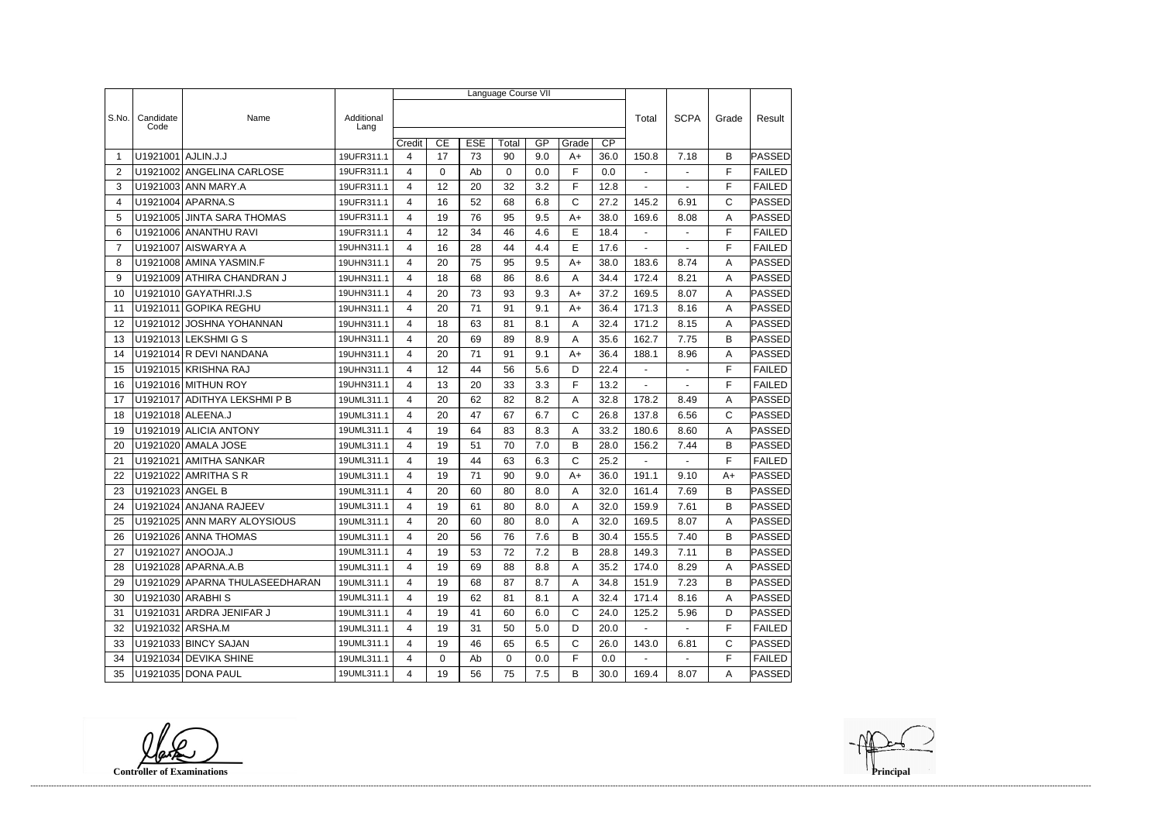|                |                   |                                |                    | Language Course VII      |             |            |          |     |              |                 |                |                |       |               |
|----------------|-------------------|--------------------------------|--------------------|--------------------------|-------------|------------|----------|-----|--------------|-----------------|----------------|----------------|-------|---------------|
|                |                   |                                |                    |                          |             |            |          |     |              |                 |                |                |       |               |
| S.No.          | Candidate<br>Code | Name                           | Additional<br>Lang |                          |             |            |          |     |              |                 | Total          | <b>SCPA</b>    | Grade | Result        |
|                |                   |                                |                    | Credit                   | CE          | <b>ESE</b> | Total    | GP  | Grade        | $\overline{CP}$ |                |                |       |               |
| -1             | U1921001          | AJLIN.J.J                      | 19UFR311.1         | $\overline{\mathcal{L}}$ | 17          | 73         | 90       | 9.0 | $A+$         | 36.0            | 150.8          | 7.18           | B     | PASSED        |
| $\overline{2}$ |                   | U1921002 ANGELINA CARLOSE      | 19UFR311.1         | 4                        | $\mathbf 0$ | Ab         | $\Omega$ | 0.0 | F            | 0.0             | $\blacksquare$ | $\blacksquare$ | F     | <b>FAILED</b> |
| 3              |                   | U1921003 ANN MARY.A            | 19UFR311.1         | 4                        | 12          | 20         | 32       | 3.2 | F            | 12.8            | $\blacksquare$ |                | F     | <b>FAILED</b> |
| 4              |                   | U1921004 APARNA.S              | 19UFR311.1         | $\overline{4}$           | 16          | 52         | 68       | 6.8 | $\mathsf{C}$ | 27.2            | 145.2          | 6.91           | C     | PASSED        |
| 5              |                   | U1921005 JINTA SARA THOMAS     | 19UFR311.1         | 4                        | 19          | 76         | 95       | 9.5 | $A+$         | 38.0            | 169.6          | 8.08           | A     | PASSED        |
| 6              |                   | U1921006 ANANTHU RAVI          | 19UFR311.1         | 4                        | 12          | 34         | 46       | 4.6 | E            | 18.4            |                |                | F     | <b>FAILED</b> |
| $\overline{7}$ |                   | U1921007 AISWARYA A            | 19UHN311.1         | 4                        | 16          | 28         | 44       | 4.4 | E            | 17.6            | $\blacksquare$ | $\overline{a}$ | F     | <b>FAILED</b> |
| 8              |                   | U1921008 AMINA YASMIN.F        | 19UHN311.1         | 4                        | 20          | 75         | 95       | 9.5 | $A+$         | 38.0            | 183.6          | 8.74           | Α     | <b>PASSED</b> |
| 9              |                   | U1921009 ATHIRA CHANDRAN J     | 19UHN311.1         | 4                        | 18          | 68         | 86       | 8.6 | A            | 34.4            | 172.4          | 8.21           | A     | PASSED        |
| 10             |                   | U1921010 GAYATHRI.J.S          | 19UHN311.1         | 4                        | 20          | 73         | 93       | 9.3 | $A+$         | 37.2            | 169.5          | 8.07           | A     | PASSED        |
| 11             |                   | U1921011 GOPIKA REGHU          | 19UHN311.1         | 4                        | 20          | 71         | 91       | 9.1 | $A+$         | 36.4            | 171.3          | 8.16           | Α     | PASSED        |
| 12             |                   | U1921012 JOSHNA YOHANNAN       | 19UHN311.1         | 4                        | 18          | 63         | 81       | 8.1 | A            | 32.4            | 171.2          | 8.15           | A     | PASSED        |
| 13             |                   | U1921013 LEKSHMIGS             | 19UHN311.1         | 4                        | 20          | 69         | 89       | 8.9 | Α            | 35.6            | 162.7          | 7.75           | B     | <b>PASSED</b> |
| 14             |                   | U1921014 R DEVI NANDANA        | 19UHN311.1         | $\overline{4}$           | 20          | 71         | 91       | 9.1 | $A+$         | 36.4            | 188.1          | 8.96           | A     | PASSED        |
| 15             |                   | U1921015 KRISHNA RAJ           | 19UHN311.1         | 4                        | 12          | 44         | 56       | 5.6 | D            | 22.4            | $\blacksquare$ | $\blacksquare$ | F     | <b>FAILED</b> |
| 16             |                   | U1921016 MITHUN ROY            | 19UHN311.1         | 4                        | 13          | 20         | 33       | 3.3 | F            | 13.2            |                |                | F     | <b>FAILED</b> |
| 17             |                   | U1921017 ADITHYA LEKSHMI P B   | 19UML311.1         | 4                        | 20          | 62         | 82       | 8.2 | Α            | 32.8            | 178.2          | 8.49           | A     | <b>PASSED</b> |
| 18             |                   | U1921018 ALEENA.J              | 19UML311.1         | 4                        | 20          | 47         | 67       | 6.7 | C            | 26.8            | 137.8          | 6.56           | C     | PASSED        |
| 19             |                   | U1921019 ALICIA ANTONY         | 19UML311.1         | 4                        | 19          | 64         | 83       | 8.3 | Α            | 33.2            | 180.6          | 8.60           | A     | PASSED        |
| 20             |                   | U1921020 AMALA JOSE            | 19UML311.1         | 4                        | 19          | 51         | 70       | 7.0 | B            | 28.0            | 156.2          | 7.44           | B     | <b>PASSED</b> |
| 21             | U1921021          | <b>AMITHA SANKAR</b>           | 19UML311.1         | 4                        | 19          | 44         | 63       | 6.3 | C            | 25.2            |                |                | F     | <b>FAILED</b> |
| 22             |                   | U1921022 AMRITHA S R           | 19UML311.1         | 4                        | 19          | 71         | 90       | 9.0 | $A+$         | 36.0            | 191.1          | 9.10           | $A+$  | PASSED        |
| 23             | U1921023 ANGEL B  |                                | 19UML311.1         | 4                        | 20          | 60         | 80       | 8.0 | Α            | 32.0            | 161.4          | 7.69           | B     | PASSED        |
| 24             |                   | U1921024 ANJANA RAJEEV         | 19UML311.1         | 4                        | 19          | 61         | 80       | 8.0 | Α            | 32.0            | 159.9          | 7.61           | B     | PASSED        |
| 25             |                   | U1921025 ANN MARY ALOYSIOUS    | 19UML311.1         | 4                        | 20          | 60         | 80       | 8.0 | A            | 32.0            | 169.5          | 8.07           | A     | <b>PASSED</b> |
| 26             |                   | U1921026 ANNA THOMAS           | 19UML311.1         | 4                        | 20          | 56         | 76       | 7.6 | B            | 30.4            | 155.5          | 7.40           | B     | <b>PASSED</b> |
| 27             |                   | U1921027 ANOOJA.J              | 19UML311.1         | 4                        | 19          | 53         | 72       | 7.2 | B            | 28.8            | 149.3          | 7.11           | B     | <b>PASSED</b> |
| 28             |                   | U1921028 APARNA.A.B            | 19UML311.1         | 4                        | 19          | 69         | 88       | 8.8 | A            | 35.2            | 174.0          | 8.29           | A     | <b>PASSED</b> |
| 29             |                   | U1921029 APARNA THULASEEDHARAN | 19UML311.1         | 4                        | 19          | 68         | 87       | 8.7 | A            | 34.8            | 151.9          | 7.23           | B     | <b>PASSED</b> |
| 30             |                   | U1921030 ARABHIS               | 19UML311.1         | 4                        | 19          | 62         | 81       | 8.1 | A            | 32.4            | 171.4          | 8.16           | A     | PASSED        |
| 31             |                   | U1921031 ARDRA JENIFAR J       | 19UML311.1         | 4                        | 19          | 41         | 60       | 6.0 | $\mathsf{C}$ | 24.0            | 125.2          | 5.96           | D     | <b>PASSED</b> |
| 32             | U1921032 ARSHA.M  |                                | 19UML311.1         | 4                        | 19          | 31         | 50       | 5.0 | D            | 20.0            | $\sim$         | $\sim$         | F     | <b>FAILED</b> |
| 33             |                   | U1921033 BINCY SAJAN           | 19UML311.1         | 4                        | 19          | 46         | 65       | 6.5 | C            | 26.0            | 143.0          | 6.81           | C     | PASSED        |
| 34             |                   | U1921034 DEVIKA SHINE          | 19UML311.1         | 4                        | 0           | Ab         | 0        | 0.0 | F            | 0.0             | $\blacksquare$ | $\blacksquare$ | F     | <b>FAILED</b> |
| 35             |                   | U1921035 DONA PAUL             | 19UML311.1         | $\overline{4}$           | 19          | 56         | 75       | 7.5 | B            | 30.0            | 169.4          | 8.07           | A     | <b>PASSED</b> |

**Controller of Examinations**